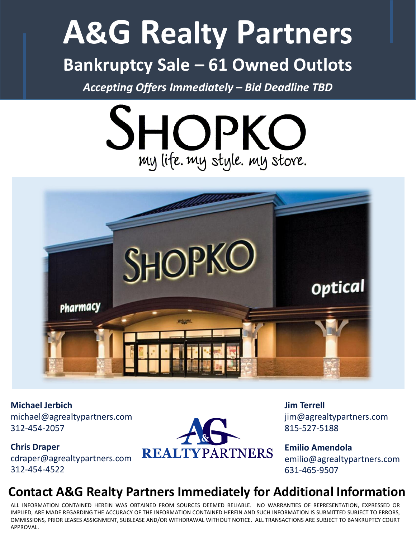## **A&G Realty Partners Bankruptcy Sale – 61 Owned Outlots**

*Accepting Offers Immediately – Bid Deadline TBD*





**Michael Jerbich** michael@agrealtypartners.com 312-454-2057

**Chris Draper** cdraper@agrealtypartners.com 312-454-4522



**Jim Terrell** jim@agrealtypartners.com 815-527-5188

**Emilio Amendola** emilio@agrealtypartners.com 631-465-9507

## **Contact A&G Realty Partners Immediately for Additional Information**

ALL INFORMATION CONTAINED HEREIN WAS OBTAINED FROM SOURCES DEEMED RELIABLE. NO WARRANTIES OF REPRESENTATION, EXPRESSED OR IMPLIED, ARE MADE REGARDING THE ACCURACY OF THE INFORMATION CONTAINED HEREIN AND SUCH INFORMATION IS SUBMITTED SUBJECT TO ERRORS, OMMISSIONS, PRIOR LEASES ASSIGNMENT, SUBLEASE AND/OR WITHDRAWAL WITHOUT NOTICE. ALL TRANSACTIONS ARE SUBJECT TO BANKRUPTCY COURT APPROVAL.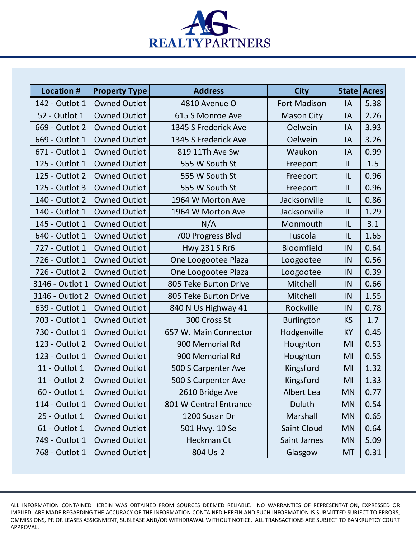

| <b>Location #</b> | <b>Property Type</b> | <b>Address</b>         | <b>City</b>         |           | State Acres |
|-------------------|----------------------|------------------------|---------------------|-----------|-------------|
| 142 - Outlot 1    | <b>Owned Outlot</b>  | 4810 Avenue O          | <b>Fort Madison</b> | IA        | 5.38        |
| 52 - Outlot 1     | <b>Owned Outlot</b>  | 615 S Monroe Ave       | <b>Mason City</b>   | IA        | 2.26        |
| 669 - Outlot 2    | <b>Owned Outlot</b>  | 1345 S Frederick Ave   | Oelwein             | IA        | 3.93        |
| 669 - Outlot 1    | <b>Owned Outlot</b>  | 1345 S Frederick Ave   | Oelwein             | IA        | 3.26        |
| 671 - Outlot 1    | <b>Owned Outlot</b>  | 819 11Th Ave Sw        | Waukon              | IA        | 0.99        |
| 125 - Outlot 1    | <b>Owned Outlot</b>  | 555 W South St         | Freeport            | IL        | 1.5         |
| 125 - Outlot 2    | <b>Owned Outlot</b>  | 555 W South St         | Freeport            | L         | 0.96        |
| 125 - Outlot 3    | <b>Owned Outlot</b>  | 555 W South St         | Freeport            | IL        | 0.96        |
| 140 - Outlot 2    | <b>Owned Outlot</b>  | 1964 W Morton Ave      | Jacksonville        | L         | 0.86        |
| 140 - Outlot 1    | <b>Owned Outlot</b>  | 1964 W Morton Ave      | Jacksonville        | IL        | 1.29        |
| 145 - Outlot 1    | <b>Owned Outlot</b>  | N/A                    | Monmouth            | IL        | 3.1         |
| 640 - Outlot 1    | <b>Owned Outlot</b>  | 700 Progress Blvd      | Tuscola             | IL        | 1.65        |
| 727 - Outlot 1    | <b>Owned Outlot</b>  | <b>Hwy 231 S Rr6</b>   | <b>Bloomfield</b>   | IN        | 0.64        |
| 726 - Outlot 1    | <b>Owned Outlot</b>  | One Loogootee Plaza    | Loogootee           | IN        | 0.56        |
| 726 - Outlot 2    | <b>Owned Outlot</b>  | One Loogootee Plaza    | Loogootee           | IN        | 0.39        |
| 3146 - Outlot 1   | <b>Owned Outlot</b>  | 805 Teke Burton Drive  | Mitchell            | IN        | 0.66        |
| 3146 - Outlot 2   | <b>Owned Outlot</b>  | 805 Teke Burton Drive  | Mitchell            | IN        | 1.55        |
| 639 - Outlot 1    | <b>Owned Outlot</b>  | 840 N Us Highway 41    | Rockville           | IN        | 0.78        |
| 703 - Outlot 1    | <b>Owned Outlot</b>  | 300 Cross St           | <b>Burlington</b>   | <b>KS</b> | 1.7         |
| 730 - Outlot 1    | <b>Owned Outlot</b>  | 657 W. Main Connector  | Hodgenville         | <b>KY</b> | 0.45        |
| 123 - Outlot 2    | <b>Owned Outlot</b>  | 900 Memorial Rd        | Houghton            | MI        | 0.53        |
| 123 - Outlot 1    | <b>Owned Outlot</b>  | 900 Memorial Rd        | Houghton            | MI        | 0.55        |
| 11 - Outlot 1     | <b>Owned Outlot</b>  | 500 S Carpenter Ave    | Kingsford           | MI        | 1.32        |
| 11 - Outlot 2     | <b>Owned Outlot</b>  | 500 S Carpenter Ave    | Kingsford           | MI        | 1.33        |
| 60 - Outlot 1     | <b>Owned Outlot</b>  | 2610 Bridge Ave        | Albert Lea          | <b>MN</b> | 0.77        |
| 114 - Outlot 1    | <b>Owned Outlot</b>  | 801 W Central Entrance | Duluth              | <b>MN</b> | 0.54        |
| 25 - Outlot 1     | <b>Owned Outlot</b>  | 1200 Susan Dr          | Marshall            | <b>MN</b> | 0.65        |
| 61 - Outlot 1     | <b>Owned Outlot</b>  | 501 Hwy. 10 Se         | Saint Cloud         | <b>MN</b> | 0.64        |
| 749 - Outlot 1    | <b>Owned Outlot</b>  | Heckman Ct             | Saint James         | <b>MN</b> | 5.09        |
| 768 - Outlot 1    | <b>Owned Outlot</b>  | 804 Us-2               | Glasgow             | MT        | 0.31        |

ALL INFORMATION CONTAINED HEREIN WAS OBTAINED FROM SOURCES DEEMED RELIABLE. NO WARRANTIES OF REPRESENTATION, EXPRESSED OR IMPLIED, ARE MADE REGARDING THE ACCURACY OF THE INFORMATION CONTAINED HEREIN AND SUCH INFORMATION IS SUBMITTED SUBJECT TO ERRORS, OMMISSIONS, PRIOR LEASES ASSIGNMENT, SUBLEASE AND/OR WITHDRAWAL WITHOUT NOTICE. ALL TRANSACTIONS ARE SUBJECT TO BANKRUPTCY COURT APPROVAL.